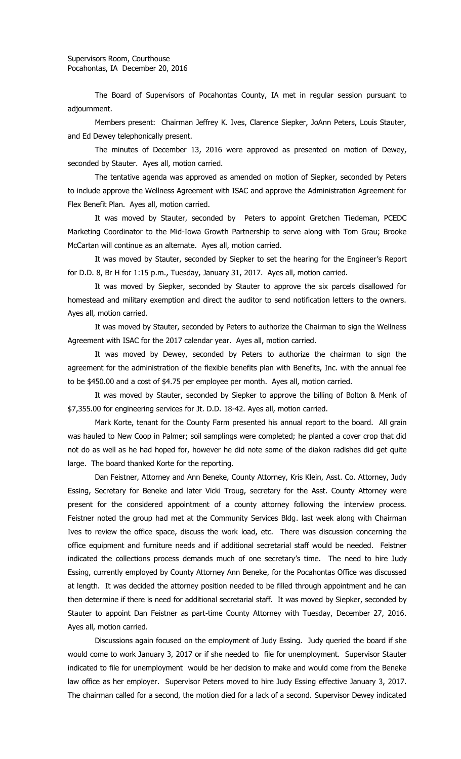The Board of Supervisors of Pocahontas County, IA met in regular session pursuant to adjournment.

Members present: Chairman Jeffrey K. Ives, Clarence Siepker, JoAnn Peters, Louis Stauter, and Ed Dewey telephonically present.

The minutes of December 13, 2016 were approved as presented on motion of Dewey, seconded by Stauter. Ayes all, motion carried.

The tentative agenda was approved as amended on motion of Siepker, seconded by Peters to include approve the Wellness Agreement with ISAC and approve the Administration Agreement for Flex Benefit Plan. Ayes all, motion carried.

It was moved by Stauter, seconded by Peters to appoint Gretchen Tiedeman, PCEDC Marketing Coordinator to the Mid-Iowa Growth Partnership to serve along with Tom Grau; Brooke McCartan will continue as an alternate. Ayes all, motion carried.

It was moved by Stauter, seconded by Siepker to set the hearing for the Engineer's Report for D.D. 8, Br H for 1:15 p.m., Tuesday, January 31, 2017. Ayes all, motion carried.

It was moved by Siepker, seconded by Stauter to approve the six parcels disallowed for homestead and military exemption and direct the auditor to send notification letters to the owners. Ayes all, motion carried.

It was moved by Stauter, seconded by Peters to authorize the Chairman to sign the Wellness Agreement with ISAC for the 2017 calendar year. Ayes all, motion carried.

It was moved by Dewey, seconded by Peters to authorize the chairman to sign the agreement for the administration of the flexible benefits plan with Benefits, Inc. with the annual fee to be \$450.00 and a cost of \$4.75 per employee per month. Ayes all, motion carried.

It was moved by Stauter, seconded by Siepker to approve the billing of Bolton & Menk of \$7,355.00 for engineering services for Jt. D.D. 18-42. Ayes all, motion carried.

Mark Korte, tenant for the County Farm presented his annual report to the board. All grain was hauled to New Coop in Palmer; soil samplings were completed; he planted a cover crop that did not do as well as he had hoped for, however he did note some of the diakon radishes did get quite large. The board thanked Korte for the reporting.

Dan Feistner, Attorney and Ann Beneke, County Attorney, Kris Klein, Asst. Co. Attorney, Judy Essing, Secretary for Beneke and later Vicki Troug, secretary for the Asst. County Attorney were present for the considered appointment of a county attorney following the interview process. Feistner noted the group had met at the Community Services Bldg. last week along with Chairman Ives to review the office space, discuss the work load, etc. There was discussion concerning the office equipment and furniture needs and if additional secretarial staff would be needed. Feistner indicated the collections process demands much of one secretary's time. The need to hire Judy Essing, currently employed by County Attorney Ann Beneke, for the Pocahontas Office was discussed at length. It was decided the attorney position needed to be filled through appointment and he can then determine if there is need for additional secretarial staff. It was moved by Siepker, seconded by Stauter to appoint Dan Feistner as part-time County Attorney with Tuesday, December 27, 2016. Ayes all, motion carried.

Discussions again focused on the employment of Judy Essing. Judy queried the board if she would come to work January 3, 2017 or if she needed to file for unemployment. Supervisor Stauter indicated to file for unemployment would be her decision to make and would come from the Beneke law office as her employer. Supervisor Peters moved to hire Judy Essing effective January 3, 2017. The chairman called for a second, the motion died for a lack of a second. Supervisor Dewey indicated